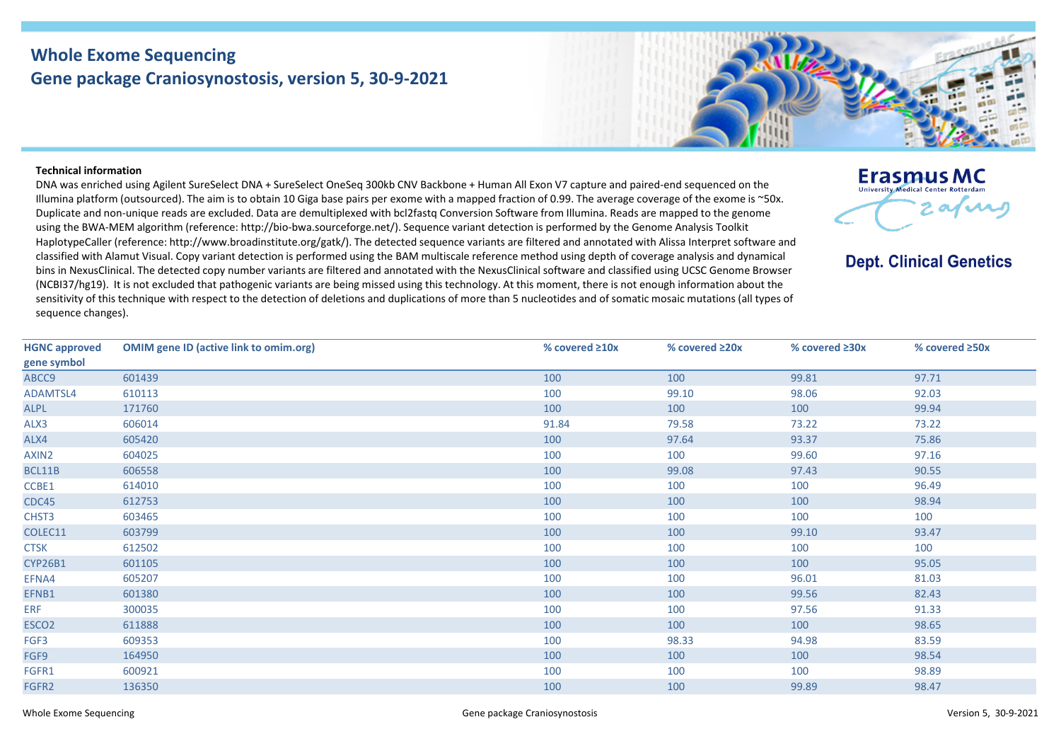## **Whole Exome Sequencing Gene package Craniosynostosis, version 5, 30-9-2021**

**Erasmus MC University Medical Center Pot** 

**Dept. Clinical Genetics** 

 $2$  afra

## **Technical information**

DNA was enriched using Agilent SureSelect DNA + SureSelect OneSeq 300kb CNV Backbone + Human All Exon V7 capture and paired-end sequenced on the Illumina platform (outsourced). The aim is to obtain 10 Giga base pairs per exome with a mapped fraction of 0.99. The average coverage of the exome is ~50x. Duplicate and non-unique reads are excluded. Data are demultiplexed with bcl2fastq Conversion Software from Illumina. Reads are mapped to the genome using the BWA-MEM algorithm (reference: http://bio-bwa.sourceforge.net/). Sequence variant detection is performed by the Genome Analysis Toolkit HaplotypeCaller (reference: http://www.broadinstitute.org/gatk/). The detected sequence variants are filtered and annotated with Alissa Interpret software and classified with Alamut Visual. Copy variant detection is performed using the BAM multiscale reference method using depth of coverage analysis and dynamical bins in NexusClinical. The detected copy number variants are filtered and annotated with the NexusClinical software and classified using UCSC Genome Browser (NCBI37/hg19). It is not excluded that pathogenic variants are being missed using this technology. At this moment, there is not enough information about the sensitivity of this technique with respect to the detection of deletions and duplications of more than 5 nucleotides and of somatic mosaic mutations (all types of sequence changes).

| <b>HGNC approved</b><br>gene symbol | <b>OMIM gene ID (active link to omim.org)</b> | % covered $\geq 10x$ | % covered $\geq 20x$ | % covered ≥30x | % covered ≥50x |
|-------------------------------------|-----------------------------------------------|----------------------|----------------------|----------------|----------------|
| ABCC9                               | 601439                                        | 100                  | 100                  | 99.81          | 97.71          |
| ADAMTSL4                            | 610113                                        | 100                  | 99.10                | 98.06          | 92.03          |
| <b>ALPL</b>                         | 171760                                        | 100                  | 100                  | 100            | 99.94          |
| ALX3                                | 606014                                        | 91.84                | 79.58                | 73.22          | 73.22          |
| ALX4                                | 605420                                        | 100                  | 97.64                | 93.37          | 75.86          |
| AXIN2                               | 604025                                        | 100                  | 100                  | 99.60          | 97.16          |
| BCL11B                              | 606558                                        | 100                  | 99.08                | 97.43          | 90.55          |
| CCBE1                               | 614010                                        | 100                  | 100                  | 100            | 96.49          |
| CDC45                               | 612753                                        | 100                  | 100                  | 100            | 98.94          |
| CHST3                               | 603465                                        | 100                  | 100                  | 100            | 100            |
| COLEC11                             | 603799                                        | 100                  | 100                  | 99.10          | 93.47          |
| <b>CTSK</b>                         | 612502                                        | 100                  | 100                  | 100            | 100            |
| <b>CYP26B1</b>                      | 601105                                        | 100                  | 100                  | 100            | 95.05          |
| EFNA4                               | 605207                                        | 100                  | 100                  | 96.01          | 81.03          |
| EFNB1                               | 601380                                        | 100                  | 100                  | 99.56          | 82.43          |
| ERF                                 | 300035                                        | 100                  | 100                  | 97.56          | 91.33          |
| ESCO <sub>2</sub>                   | 611888                                        | 100                  | 100                  | 100            | 98.65          |
| FGF3                                | 609353                                        | 100                  | 98.33                | 94.98          | 83.59          |
| FGF9                                | 164950                                        | 100                  | 100                  | 100            | 98.54          |
| FGFR1                               | 600921                                        | 100                  | 100                  | 100            | 98.89          |
| FGFR2                               | 136350                                        | 100                  | 100                  | 99.89          | 98.47          |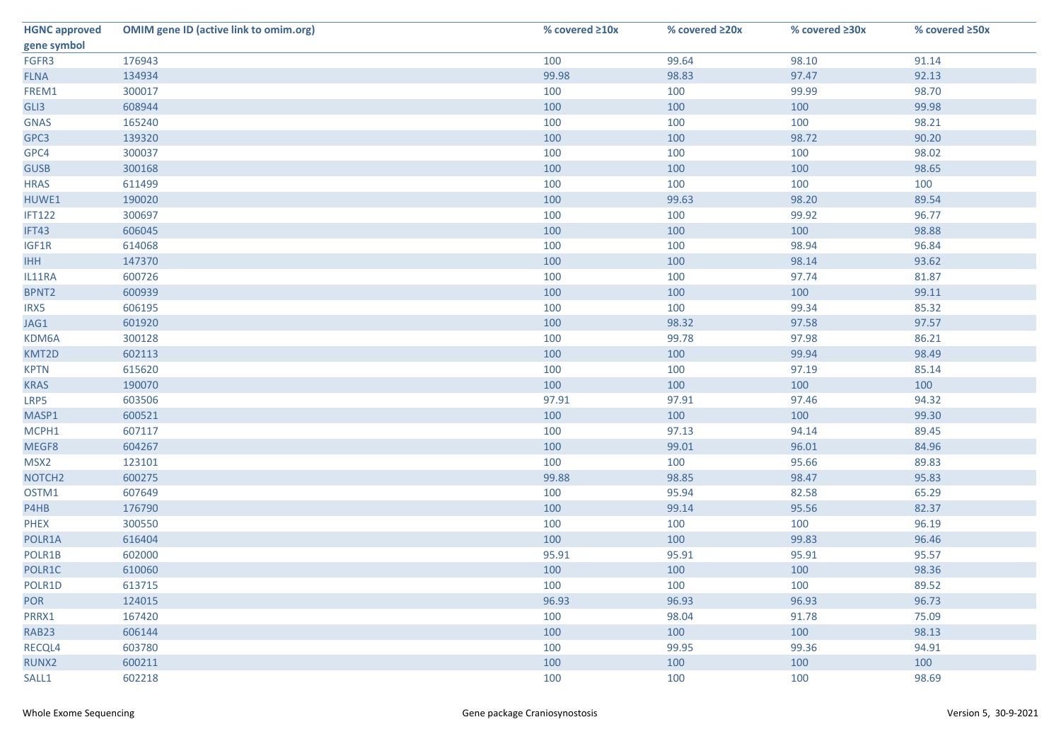| <b>HGNC approved</b> | <b>OMIM gene ID (active link to omim.org)</b> | % covered ≥10x | % covered ≥20x | % covered ≥30x | % covered ≥50x |
|----------------------|-----------------------------------------------|----------------|----------------|----------------|----------------|
| gene symbol          |                                               |                |                |                |                |
| FGFR3                | 176943                                        | 100            | 99.64          | 98.10          | 91.14          |
| <b>FLNA</b>          | 134934                                        | 99.98          | 98.83          | 97.47          | 92.13          |
| FREM1                | 300017                                        | 100            | 100            | 99.99          | 98.70          |
| GLI3                 | 608944                                        | 100            | 100            | 100            | 99.98          |
| <b>GNAS</b>          | 165240                                        | 100            | 100            | 100            | 98.21          |
| GPC3                 | 139320                                        | 100            | 100            | 98.72          | 90.20          |
| GPC4                 | 300037                                        | 100            | 100            | 100            | 98.02          |
| <b>GUSB</b>          | 300168                                        | 100            | 100            | 100            | 98.65          |
| <b>HRAS</b>          | 611499                                        | 100            | 100            | 100            | 100            |
| HUWE1                | 190020                                        | 100            | 99.63          | 98.20          | 89.54          |
| <b>IFT122</b>        | 300697                                        | 100            | 100            | 99.92          | 96.77          |
| IFT43                | 606045                                        | 100            | 100            | 100            | 98.88          |
| IGF1R                | 614068                                        | 100            | 100            | 98.94          | 96.84          |
| <b>IHH</b>           | 147370                                        | 100            | 100            | 98.14          | 93.62          |
| IL11RA               | 600726                                        | 100            | 100            | 97.74          | 81.87          |
| BPNT2                | 600939                                        | 100            | 100            | 100            | 99.11          |
| IRX5                 | 606195                                        | 100            | 100            | 99.34          | 85.32          |
| JAG1                 | 601920                                        | 100            | 98.32          | 97.58          | 97.57          |
| KDM6A                | 300128                                        | 100            | 99.78          | 97.98          | 86.21          |
| KMT2D                | 602113                                        | 100            | 100            | 99.94          | 98.49          |
| <b>KPTN</b>          | 615620                                        | 100            | 100            | 97.19          | 85.14          |
| <b>KRAS</b>          | 190070                                        | 100            | 100            | 100            | 100            |
| LRP5                 | 603506                                        | 97.91          | 97.91          | 97.46          | 94.32          |
| MASP1                | 600521                                        | 100            | 100            | 100            | 99.30          |
| MCPH1                | 607117                                        | 100            | 97.13          | 94.14          | 89.45          |
| MEGF8                | 604267                                        | 100            | 99.01          | 96.01          | 84.96          |
| MSX <sub>2</sub>     | 123101                                        | 100            | 100            | 95.66          | 89.83          |
| NOTCH <sub>2</sub>   | 600275                                        | 99.88          | 98.85          | 98.47          | 95.83          |
| OSTM1                | 607649                                        | 100            | 95.94          | 82.58          | 65.29          |
| P4HB                 | 176790                                        | 100            | 99.14          | 95.56          | 82.37          |
| <b>PHEX</b>          | 300550                                        | 100            | 100            | 100            | 96.19          |
| POLR1A               | 616404                                        | 100            | 100            | 99.83          | 96.46          |
| POLR1B               | 602000                                        | 95.91          | 95.91          | 95.91          | 95.57          |
| POLR1C               | 610060                                        | 100            | 100            | 100            | 98.36          |
| POLR1D               | 613715                                        | 100            | 100            | 100            | 89.52          |
| <b>POR</b>           | 124015                                        | 96.93          | 96.93          | 96.93          | 96.73          |
| PRRX1                | 167420                                        | 100            | 98.04          | 91.78          | 75.09          |
| RAB23                | 606144                                        | 100            | 100            | 100            | 98.13          |
| RECQL4               | 603780                                        | 100            | 99.95          | 99.36          | 94.91          |
| RUNX2                | 600211                                        | 100            | 100            | 100            | 100            |
| SALL1                | 602218                                        | 100            | 100            | 100            | 98.69          |